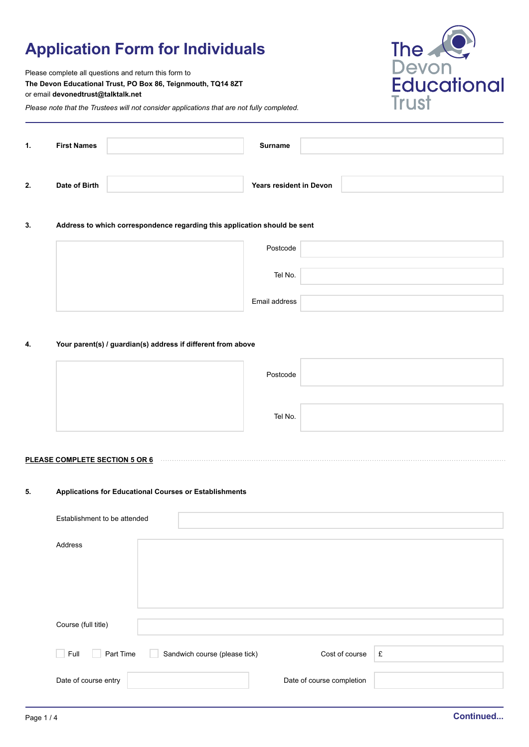# **Application Form for Individuals**



Please complete all questions and return this form to **The Devon Educational Trust, PO Box 86, Teignmouth, TQ14 8ZT** or email **devonedtrust@talktalk.net**

*Please note that the Trustees will not consider applications that are not fully completed.*

| 1. | <b>First Names</b> | Surname                        |  |
|----|--------------------|--------------------------------|--|
| 2. | Date of Birth      | <b>Years resident in Devon</b> |  |

#### **3. Address to which correspondence regarding this application should be sent**

| Postcode      |  |
|---------------|--|
| Tel No.       |  |
| Email address |  |

#### **4. Your parent(s) / guardian(s) address if different from above**

| Postcode |  |
|----------|--|
|          |  |
| Tel No.  |  |

#### **PLEASE COMPLETE SECTION 5 OR 6**

#### **5. Applications for Educational Courses or Establishments**

| Establishment to be attended |                               |                           |   |
|------------------------------|-------------------------------|---------------------------|---|
| Address                      |                               |                           |   |
| Course (full title)          |                               |                           |   |
| Full<br>Part Time            | Sandwich course (please tick) | Cost of course            | £ |
| Date of course entry         |                               | Date of course completion |   |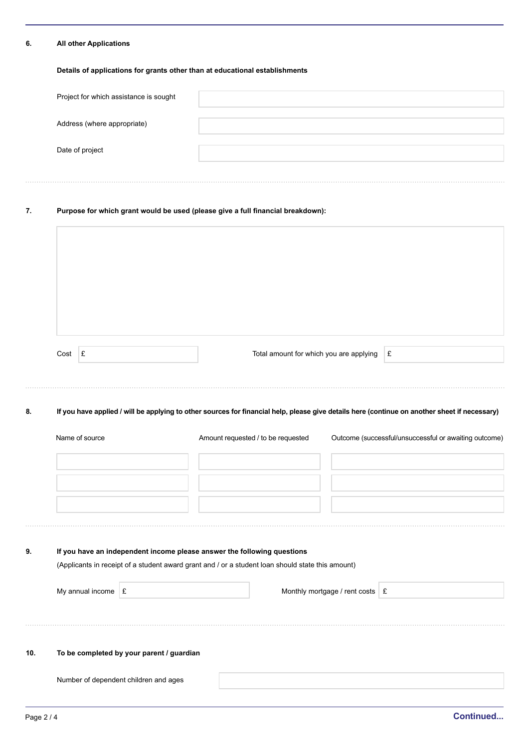#### **6. All other Applications**

### **Details of applications for grants other than at educational establishments**

| Project for which assistance is sought |  |
|----------------------------------------|--|
| Address (where appropriate)            |  |
| Date of project                        |  |
|                                        |  |

# **7. Purpose for which grant would be used (please give a full financial breakdown):**

|     | Cost $E$       |                      |                                                                                                                                                                              |  | Total amount for which you are applying               |                                   | $\pounds$ |  |
|-----|----------------|----------------------|------------------------------------------------------------------------------------------------------------------------------------------------------------------------------|--|-------------------------------------------------------|-----------------------------------|-----------|--|
| 8.  |                |                      | If you have applied / will be applying to other sources for financial help, please give details here (continue on another sheet if necessary)                                |  |                                                       |                                   |           |  |
|     | Name of source |                      | Amount requested / to be requested                                                                                                                                           |  | Outcome (successful/unsuccessful or awaiting outcome) |                                   |           |  |
|     |                |                      |                                                                                                                                                                              |  |                                                       |                                   |           |  |
|     |                |                      |                                                                                                                                                                              |  |                                                       |                                   |           |  |
| 9.  |                |                      | If you have an independent income please answer the following questions<br>(Applicants in receipt of a student award grant and / or a student loan should state this amount) |  |                                                       |                                   |           |  |
|     |                | My annual income $E$ |                                                                                                                                                                              |  |                                                       | Monthly mortgage / rent costs   £ |           |  |
|     |                |                      |                                                                                                                                                                              |  |                                                       |                                   |           |  |
| 10. |                |                      | To be completed by your parent / guardian                                                                                                                                    |  |                                                       |                                   |           |  |
|     |                |                      | Number of dependent children and ages                                                                                                                                        |  |                                                       |                                   |           |  |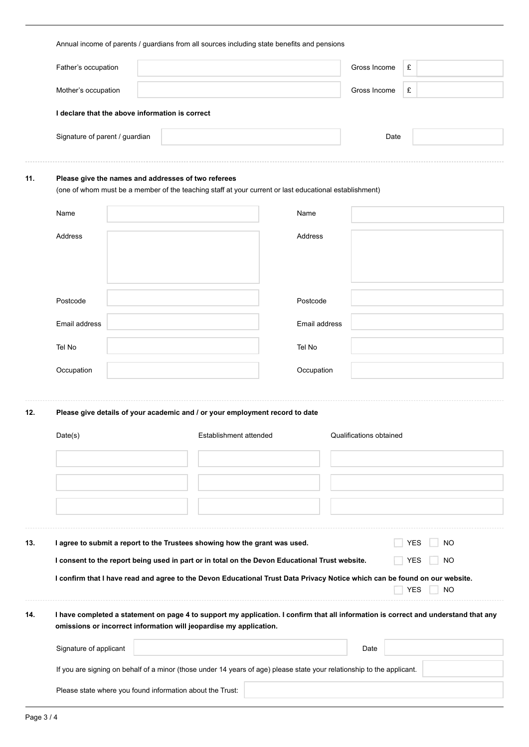|                                                                                                                                                                                                                  | Annual income of parents / guardians from all sources including state benefits and pensions                                                                   |  |                        |                                                                                                |                           |                                                                                                                            |            |           |  |  |
|------------------------------------------------------------------------------------------------------------------------------------------------------------------------------------------------------------------|---------------------------------------------------------------------------------------------------------------------------------------------------------------|--|------------------------|------------------------------------------------------------------------------------------------|---------------------------|----------------------------------------------------------------------------------------------------------------------------|------------|-----------|--|--|
|                                                                                                                                                                                                                  | Father's occupation                                                                                                                                           |  |                        |                                                                                                |                           | Gross Income                                                                                                               | £          |           |  |  |
|                                                                                                                                                                                                                  | Mother's occupation                                                                                                                                           |  |                        |                                                                                                |                           | Gross Income                                                                                                               | £          |           |  |  |
|                                                                                                                                                                                                                  | I declare that the above information is correct                                                                                                               |  |                        |                                                                                                |                           |                                                                                                                            |            |           |  |  |
|                                                                                                                                                                                                                  | Signature of parent / guardian                                                                                                                                |  |                        |                                                                                                |                           | Date                                                                                                                       |            |           |  |  |
|                                                                                                                                                                                                                  |                                                                                                                                                               |  |                        |                                                                                                |                           |                                                                                                                            |            |           |  |  |
| 11.                                                                                                                                                                                                              | Please give the names and addresses of two referees<br>(one of whom must be a member of the teaching staff at your current or last educational establishment) |  |                        |                                                                                                |                           |                                                                                                                            |            |           |  |  |
|                                                                                                                                                                                                                  | Name                                                                                                                                                          |  |                        |                                                                                                | Name                      |                                                                                                                            |            |           |  |  |
|                                                                                                                                                                                                                  | Address                                                                                                                                                       |  |                        |                                                                                                | Address                   |                                                                                                                            |            |           |  |  |
|                                                                                                                                                                                                                  |                                                                                                                                                               |  |                        |                                                                                                |                           |                                                                                                                            |            |           |  |  |
|                                                                                                                                                                                                                  |                                                                                                                                                               |  |                        |                                                                                                |                           |                                                                                                                            |            |           |  |  |
|                                                                                                                                                                                                                  | Postcode                                                                                                                                                      |  |                        |                                                                                                | Postcode<br>Email address |                                                                                                                            |            |           |  |  |
|                                                                                                                                                                                                                  | Email address                                                                                                                                                 |  |                        |                                                                                                |                           |                                                                                                                            |            |           |  |  |
|                                                                                                                                                                                                                  | Tel No                                                                                                                                                        |  |                        |                                                                                                | Tel No                    |                                                                                                                            |            |           |  |  |
|                                                                                                                                                                                                                  | Occupation                                                                                                                                                    |  |                        |                                                                                                | Occupation                |                                                                                                                            |            |           |  |  |
|                                                                                                                                                                                                                  |                                                                                                                                                               |  |                        |                                                                                                |                           |                                                                                                                            |            |           |  |  |
| 12.                                                                                                                                                                                                              |                                                                                                                                                               |  |                        | Please give details of your academic and / or your employment record to date                   |                           |                                                                                                                            |            |           |  |  |
|                                                                                                                                                                                                                  | Date(s)                                                                                                                                                       |  | Establishment attended |                                                                                                | Qualifications obtained   |                                                                                                                            |            |           |  |  |
|                                                                                                                                                                                                                  |                                                                                                                                                               |  |                        |                                                                                                |                           |                                                                                                                            |            |           |  |  |
|                                                                                                                                                                                                                  |                                                                                                                                                               |  |                        |                                                                                                |                           |                                                                                                                            |            |           |  |  |
|                                                                                                                                                                                                                  |                                                                                                                                                               |  |                        |                                                                                                |                           |                                                                                                                            |            |           |  |  |
|                                                                                                                                                                                                                  |                                                                                                                                                               |  |                        |                                                                                                |                           |                                                                                                                            |            |           |  |  |
| 13.                                                                                                                                                                                                              |                                                                                                                                                               |  |                        | I agree to submit a report to the Trustees showing how the grant was used.                     |                           |                                                                                                                            | <b>YES</b> | NO.       |  |  |
|                                                                                                                                                                                                                  |                                                                                                                                                               |  |                        | I consent to the report being used in part or in total on the Devon Educational Trust website. |                           |                                                                                                                            | <b>YES</b> | NO        |  |  |
|                                                                                                                                                                                                                  |                                                                                                                                                               |  |                        |                                                                                                |                           | I confirm that I have read and agree to the Devon Educational Trust Data Privacy Notice which can be found on our website. | YES        | <b>NO</b> |  |  |
| I have completed a statement on page 4 to support my application. I confirm that all information is correct and understand that any<br>14.<br>omissions or incorrect information will jeopardise my application. |                                                                                                                                                               |  |                        |                                                                                                |                           |                                                                                                                            |            |           |  |  |
|                                                                                                                                                                                                                  | Signature of applicant                                                                                                                                        |  |                        |                                                                                                |                           | Date                                                                                                                       |            |           |  |  |
|                                                                                                                                                                                                                  |                                                                                                                                                               |  |                        |                                                                                                |                           | If you are signing on behalf of a minor (those under 14 years of age) please state your relationship to the applicant.     |            |           |  |  |
|                                                                                                                                                                                                                  | Please state where you found information about the Trust:                                                                                                     |  |                        |                                                                                                |                           |                                                                                                                            |            |           |  |  |
|                                                                                                                                                                                                                  |                                                                                                                                                               |  |                        |                                                                                                |                           |                                                                                                                            |            |           |  |  |